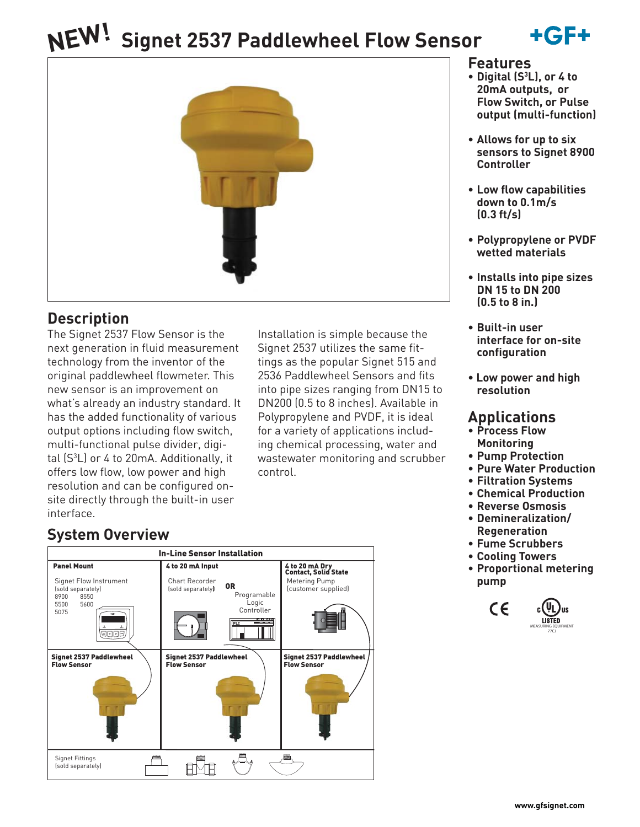# **Signet 2537 Paddlewheel Flow Sensor NEW!**





### **Description**

The Signet 2537 Flow Sensor is the next generation in fluid measurement technology from the inventor of the original paddlewheel flowmeter. This new sensor is an improvement on what's already an industry standard. It has the added functionality of various output options including flow switch, multi-functional pulse divider, digital (S3 L) or 4 to 20mA. Additionally, it offers low flow, low power and high resolution and can be configured onsite directly through the built-in user interface.

Installation is simple because the Signet 2537 utilizes the same fittings as the popular Signet 515 and 2536 Paddlewheel Sensors and fits into pipe sizes ranging from DN15 to DN200 (0.5 to 8 inches). Available in Polypropylene and PVDF, it is ideal for a variety of applications including chemical processing, water and wastewater monitoring and scrubber control.

### **System Overview**

| <b>In-Line Sensor Installation</b>                                                                                                  |                                                                                                                                          |                                                                                |  |  |  |  |
|-------------------------------------------------------------------------------------------------------------------------------------|------------------------------------------------------------------------------------------------------------------------------------------|--------------------------------------------------------------------------------|--|--|--|--|
| <b>Panel Mount</b><br>Signet Flow Instrument<br>(sold separately)<br>8900<br>8550<br>5600<br>5500<br>5075<br>$-GP +$<br><b>@@@@</b> | 4 to 20 mA Input<br>Chart Recorder<br>0R<br>(sold separately)<br>Programable<br>Logic<br>Controller<br><b>BBB</b><br>- 000<br><b>PLC</b> | 4 to 20 mA Dry<br>Contact, Solid State<br>Metering Pump<br>(customer supplied) |  |  |  |  |
| Signet 2537 Paddlewheel<br><b>Flow Sensor</b>                                                                                       | Signet 2537 Paddlewheel<br><b>Flow Sensor</b>                                                                                            | <b>Signet 2537 Paddlewheel</b><br><b>Flow Sensor</b>                           |  |  |  |  |
| Signet Fittings<br>(sold separately)                                                                                                |                                                                                                                                          |                                                                                |  |  |  |  |

### **Features**

- **Digital (S3 L), or 4 to 20mA outputs, or Flow Switch, or Pulse output (multi-function)**
- **Allows for up to six sensors to Signet 8900 Controller**
- **Low flow capabilities down to 0.1m/s (0.3 ft/s)**
- **Polypropylene or PVDF wetted materials**
- **Installs into pipe sizes DN 15 to DN 200 (0.5 to 8 in.)**
- **Built-in user interface for on-site configuration**
- **Low power and high resolution**

### **Applications**

- **Process Flow Monitoring**
- **Pump Protection**
- **Pure Water Production**
- **Filtration Systems**
- **Chemical Production**
- **Reverse Osmosis**
- **Demineralization/ Regeneration**
- **Fume Scrubbers**
- **Cooling Towers**
- **Proportional metering pump**

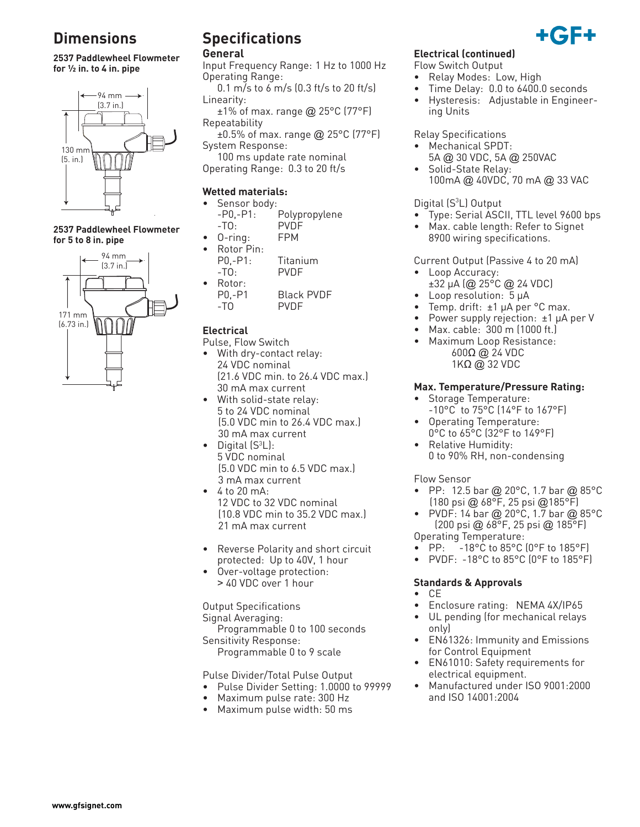### **Dimensions**

**2537 Paddlewheel Flowmeter for ½ in. to 4 in. pipe**



**2537 Paddlewheel Flowmeter for 5 to 8 in. pipe**



## **Specifications**

#### **General**

Input Frequency Range: 1 Hz to 1000 Hz Operating Range:

 $0.1 \text{ m/s}$  to 6 m/s  $(0.3 \text{ ft/s}$  to 20 ft/s Linearity:

 $\pm$ 1% of max. range @ 25°C (77°F) Repeatability

 $\pm 0.5\%$  of max. range @ 25°C (77°F) System Response:

 100 ms update rate nominal Operating Range: 0.3 to 20 ft/s

#### **Wetted materials:**

- Sensor body:
	- -P0,-P1: Polypropylene -TO: PVDF
	- 0-ring: FPM
- Rotor Pin:<br>P0.-P1:
	- Titanium -TO: PVDF
- Rotor: P0,-P1 Black PVDF -TO PVDF
- **Electrical**
- Pulse, Flow Switch
- With dry-contact relay: 24 VDC nominal (21.6 VDC min. to 26.4 VDC max.) 30 mA max current
- With solid-state relay: 5 to 24 VDC nominal (5.0 VDC min to 26.4 VDC max.) 30 mA max current
- Digital  $(S^3L)$ : 5 VDC nominal (5.0 VDC min to 6.5 VDC max.) 3 mA max current
- $4$  to 20 mA: 12 VDC to 32 VDC nominal (10.8 VDC min to 35.2 VDC max.) 21 mA max current
- Reverse Polarity and short circuit protected: Up to 40V, 1 hour
- Over-voltage protection: > 40 VDC over 1 hour

Output Specifications Signal Averaging: Programmable 0 to 100 seconds

Sensitivity Response: Programmable 0 to 9 scale

Pulse Divider/Total Pulse Output

- Pulse Divider Setting: 1.0000 to 99999
- Maximum pulse rate: 300 Hz
- Maximum pulse width: 50 ms

#### **Electrical (continued)**

- Flow Switch Output
- Relay Modes: Low, High
- Time Delay: 0.0 to 6400.0 seconds
- Hysteresis: Adjustable in Engineering Units

Relay Specifications

- Mechanical SPDT:
- 5A @ 30 VDC, 5A @ 250VAC • Solid-State Relay: 100mA @ 40VDC, 70 mA @ 33 VAC

#### Digital (S<sup>3</sup>L) Output

- Type: Serial ASCII, TTL level 9600 bps
- Max. cable length: Refer to Signet 8900 wiring specifications.

Current Output (Passive 4 to 20 mA)

- Loop Accuracy: ±32 μA (@ 25°C @ 24 VDC)
- Loop resolution: 5 μA
- Temp. drift: ±1 μA per °C max.
- Power supply rejection: ±1 μA per V
- Max. cable: 300 m (1000 ft.)
- Maximum Loop Resistance: 600Ω @ 24 VDC 1KΩ @ 32 VDC

#### **Max. Temperature/Pressure Rating:**

- Storage Temperature: -10°C to 75°C (14°F to 167°F)
- Operating Temperature: 0°C to 65°C (32°F to 149°F)
- Relative Humidity: 0 to 90% RH, non-condensing

#### Flow Sensor

- PP: 12.5 bar @ 20°C, 1.7 bar @ 85°C (180 psi @ 68°F, 25 psi @185°F)
- PVDF: 14 bar @ 20°C, 1.7 bar @ 85°C (200 psi @ 68°F, 25 psi @ 185°F)
- Operating Temperature:<br>• PP: -18°C to 85°C -18°C to 85°C (0°F to 185°F)
- PVDF: -18°C to 85°C (0°F to 185°F)

#### **Standards & Approvals**

- CE
- Enclosure rating: NEMA 4X/IP65
- UL pending (for mechanical relays only)
- EN61326: Immunity and Emissions for Control Equipment
- EN61010: Safety requirements for electrical equipment.
- Manufactured under ISO 9001:2000 and ISO 14001:2004

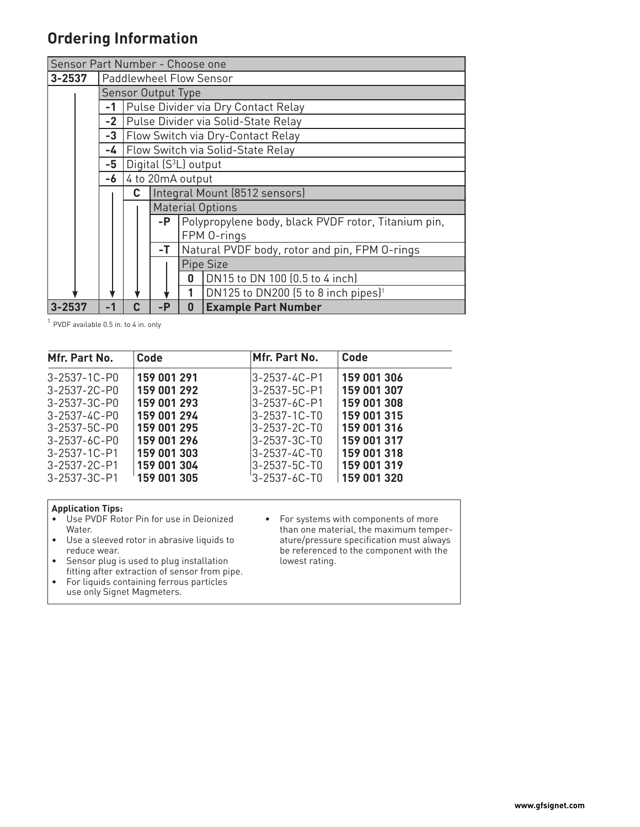### **Ordering Information**

| Sensor Part Number - Choose one |  |      |                                                     |                         |                                                     |                                                 |  |
|---------------------------------|--|------|-----------------------------------------------------|-------------------------|-----------------------------------------------------|-------------------------------------------------|--|
| 3-2537                          |  |      | Paddlewheel Flow Sensor                             |                         |                                                     |                                                 |  |
|                                 |  |      | Sensor Output Type                                  |                         |                                                     |                                                 |  |
|                                 |  | $-1$ | Pulse Divider via Dry Contact Relay                 |                         |                                                     |                                                 |  |
|                                 |  | $-2$ | Pulse Divider via Solid-State Relay                 |                         |                                                     |                                                 |  |
|                                 |  | $-3$ | Flow Switch via Dry-Contact Relay                   |                         |                                                     |                                                 |  |
|                                 |  | -4   | Flow Switch via Solid-State Relay                   |                         |                                                     |                                                 |  |
|                                 |  | -5   | Digital (S <sup>3</sup> L) output                   |                         |                                                     |                                                 |  |
|                                 |  | -6   | 4 to 20mA output                                    |                         |                                                     |                                                 |  |
|                                 |  |      | Integral Mount (8512 sensors)<br>C                  |                         |                                                     |                                                 |  |
|                                 |  |      |                                                     | <b>Material Options</b> |                                                     |                                                 |  |
|                                 |  |      |                                                     | -P                      | Polypropylene body, black PVDF rotor, Titanium pin, |                                                 |  |
|                                 |  |      |                                                     | FPM 0-rings             |                                                     |                                                 |  |
|                                 |  |      | -T<br>Natural PVDF body, rotor and pin, FPM 0-rings |                         |                                                     |                                                 |  |
|                                 |  |      |                                                     |                         | Pipe Size                                           |                                                 |  |
|                                 |  |      |                                                     |                         | 0                                                   | DN15 to DN 100 (0.5 to 4 inch)                  |  |
|                                 |  |      |                                                     |                         | 1                                                   | DN125 to DN200 (5 to 8 inch pipes) <sup>1</sup> |  |
| 3-2537                          |  |      | Ր։                                                  | $-P$                    | $\bf{0}$                                            | <b>Example Part Number</b>                      |  |

 $^1$  PVDF available 0.5 in. to 4 in. only

| Mfr. Part No.        | Code        | Mfr. Part No.        | Code        |
|----------------------|-------------|----------------------|-------------|
| 3-2537-1C-P0         | 159 001 291 | $3 - 2537 - 4C - P1$ | 159 001 306 |
| 3-2537-2C-P0         | 159 001 292 | 3-2537-5C-P1         | 159 001 307 |
| $3 - 2537 - 3C - P0$ | 159 001 293 | $3 - 2537 - 6C - P1$ | 159 001 308 |
| 3-2537-4C-P0         | 159 001 294 | $3 - 2537 - 1C - T0$ | 159 001 315 |
| 3-2537-5C-P0         | 159 001 295 | $3 - 2537 - 2C - T0$ | 159 001 316 |
| $3 - 2537 - 6C - P0$ | 159 001 296 | $3 - 2537 - 3C - T0$ | 159 001 317 |
| $3 - 2537 - 1C - P1$ | 159 001 303 | $3 - 2537 - 4C - T0$ | 159 001 318 |
| 3-2537-2C-P1         | 159 001 304 | $3 - 2537 - 5C - T0$ | 159 001 319 |
| 3-2537-3C-P1         | 159 001 305 | '3-2537-6C-T0        | 159 001 320 |

#### **Application Tips:**

- Use PVDF Rotor Pin for use in Deionized Water.
- Use a sleeved rotor in abrasive liquids to reduce wear.
- Sensor plug is used to plug installation fitting after extraction of sensor from pipe.
- For liquids containing ferrous particles use only Signet Magmeters.
- For systems with components of more than one material, the maximum temperature/pressure specification must always be referenced to the component with the lowest rating.